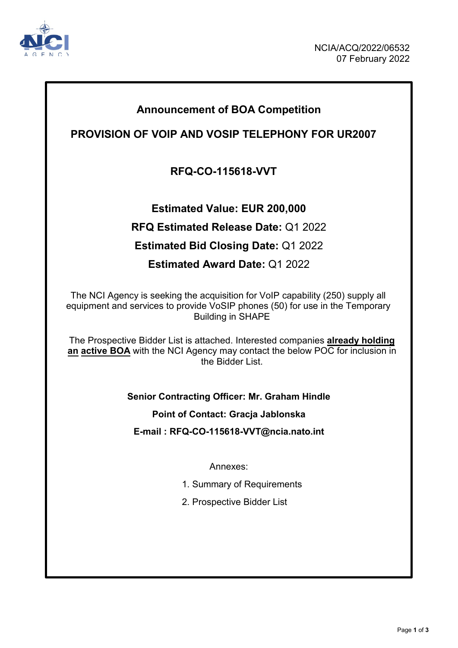

## **Announcement of BOA Competition**

## **PROVISION OF VOIP AND VOSIP TELEPHONY FOR UR2007**

## **RFQ-CO-115618-VVT**

**Estimated Value: EUR 200,000 RFQ Estimated Release Date:** Q1 2022 **Estimated Bid Closing Date:** Q1 2022 **Estimated Award Date:** Q1 2022

The NCI Agency is seeking the acquisition for VoIP capability (250) supply all equipment and services to provide VoSIP phones (50) for use in the Temporary Building in SHAPE

The Prospective Bidder List is attached. Interested companies **already holding an active BOA** with the NCI Agency may contact the below POC for inclusion in the Bidder List.

**Senior Contracting Officer: Mr. Graham Hindle**

**Point of Contact: Gracja Jablonska**

**E-mail : RFQ-CO-115618-VVT@ncia.nato.int**

Annexes:

- 1. Summary of Requirements
- 2. Prospective Bidder List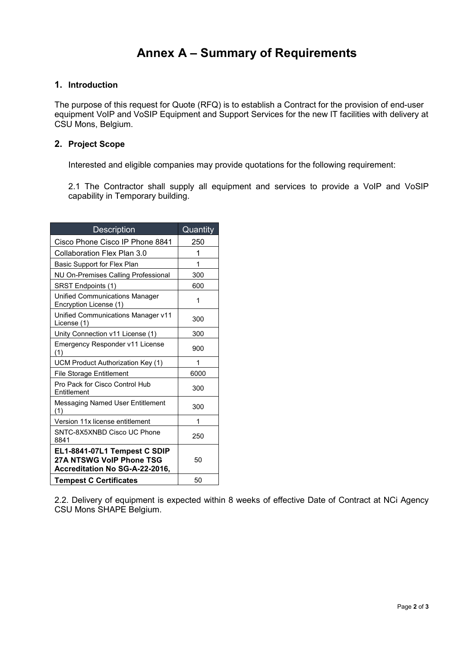# **Annex A – Summary of Requirements**

### **1. Introduction**

The purpose of this request for Quote (RFQ) is to establish a Contract for the provision of end-user equipment VoIP and VoSIP Equipment and Support Services for the new IT facilities with delivery at CSU Mons, Belgium.

### **2. Project Scope**

Interested and eligible companies may provide quotations for the following requirement:

2.1 The Contractor shall supply all equipment and services to provide a VoIP and VoSIP capability in Temporary building.

| <b>Description</b>                                                                         | Quantity |
|--------------------------------------------------------------------------------------------|----------|
| Cisco Phone Cisco IP Phone 8841                                                            | 250      |
| Collaboration Flex Plan 3.0                                                                | 1        |
| Basic Support for Flex Plan                                                                | 1        |
| NU On-Premises Calling Professional                                                        | 300      |
| SRST Endpoints (1)                                                                         | 600      |
| <b>Unified Communications Manager</b><br>Encryption License (1)                            | 1        |
| Unified Communications Manager v11<br>License (1)                                          | 300      |
| Unity Connection v11 License (1)                                                           | 300      |
| Emergency Responder v11 License<br>(1)                                                     | 900      |
| UCM Product Authorization Key (1)                                                          | 1        |
| <b>File Storage Entitlement</b>                                                            | 6000     |
| Pro Pack for Cisco Control Hub<br>Entitlement                                              | 300      |
| Messaging Named User Entitlement<br>(1)                                                    | 300      |
| Version 11x license entitlement                                                            | 1        |
| SNTC-8X5XNBD Cisco UC Phone<br>8841                                                        | 250      |
| EL1-8841-07L1 Tempest C SDIP<br>27A NTSWG VoIP Phone TSG<br>Accreditation No SG-A-22-2016, | 50       |
| <b>Tempest C Certificates</b>                                                              | 50       |

2.2. Delivery of equipment is expected within 8 weeks of effective Date of Contract at NCi Agency CSU Mons SHAPE Belgium.